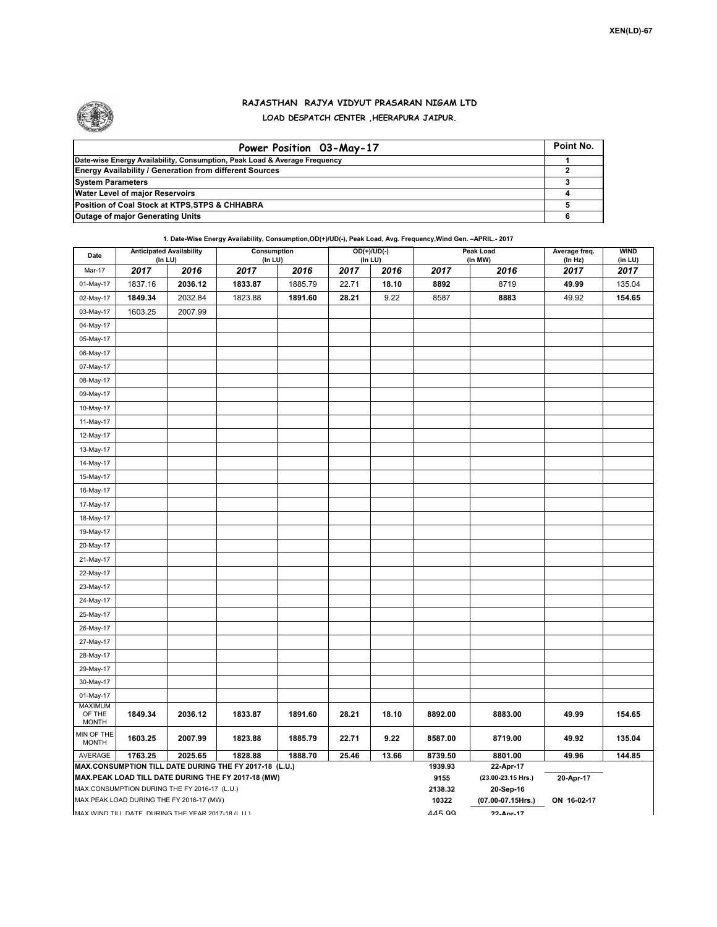

## **RAJASTHAN RAJYA VIDYUT PRASARAN NIGAM LTD LOAD DESPATCH CENTER ,HEERAPURA JAIPUR.**

| Power Position 03-May-17                                                  | Point No. |
|---------------------------------------------------------------------------|-----------|
| Date-wise Energy Availability, Consumption, Peak Load & Average Frequency |           |
| <b>Energy Availability / Generation from different Sources</b>            |           |
| <b>System Parameters</b>                                                  |           |
| <b>Water Level of major Reservoirs</b>                                    |           |
| Position of Coal Stock at KTPS, STPS & CHHABRA                            |           |
| <b>Outage of major Generating Units</b>                                   |           |

**1. Date-Wise Energy Availability, Consumption,OD(+)/UD(-), Peak Load, Avg. Frequency,Wind Gen. –APRIL.- 2017**

| Date                                                                                     | <b>Anticipated Availability</b><br>(In LU) |         |                                                        | Consumption<br>(In LU) |       | $OD(+)/UD(-)$<br>(In LU) |                   | Peak Load<br>(In MW)            | Average freq.<br><b>WIND</b><br>(in LU)<br>(In Hz) |        |  |
|------------------------------------------------------------------------------------------|--------------------------------------------|---------|--------------------------------------------------------|------------------------|-------|--------------------------|-------------------|---------------------------------|----------------------------------------------------|--------|--|
| Mar-17                                                                                   | 2017                                       | 2016    | 2017                                                   | 2016                   | 2017  | 2016                     | 2017              | 2016                            | 2017                                               | 2017   |  |
| 01-May-17                                                                                | 1837.16                                    | 2036.12 | 1833.87                                                | 1885.79                | 22.71 | 18.10                    | 8892              | 8719                            | 49.99                                              | 135.04 |  |
| 02-May-17                                                                                | 1849.34                                    | 2032.84 | 1823.88                                                | 1891.60                | 28.21 | 9.22                     | 8587              | 8883                            | 49.92                                              | 154.65 |  |
| 03-May-17                                                                                | 1603.25                                    | 2007.99 |                                                        |                        |       |                          |                   |                                 |                                                    |        |  |
| 04-May-17                                                                                |                                            |         |                                                        |                        |       |                          |                   |                                 |                                                    |        |  |
| 05-May-17                                                                                |                                            |         |                                                        |                        |       |                          |                   |                                 |                                                    |        |  |
| 06-May-17                                                                                |                                            |         |                                                        |                        |       |                          |                   |                                 |                                                    |        |  |
| 07-May-17                                                                                |                                            |         |                                                        |                        |       |                          |                   |                                 |                                                    |        |  |
| 08-May-17                                                                                |                                            |         |                                                        |                        |       |                          |                   |                                 |                                                    |        |  |
| 09-May-17                                                                                |                                            |         |                                                        |                        |       |                          |                   |                                 |                                                    |        |  |
| 10-May-17                                                                                |                                            |         |                                                        |                        |       |                          |                   |                                 |                                                    |        |  |
| 11-May-17                                                                                |                                            |         |                                                        |                        |       |                          |                   |                                 |                                                    |        |  |
| 12-May-17                                                                                |                                            |         |                                                        |                        |       |                          |                   |                                 |                                                    |        |  |
| 13-May-17                                                                                |                                            |         |                                                        |                        |       |                          |                   |                                 |                                                    |        |  |
| 14-May-17                                                                                |                                            |         |                                                        |                        |       |                          |                   |                                 |                                                    |        |  |
| 15-May-17                                                                                |                                            |         |                                                        |                        |       |                          |                   |                                 |                                                    |        |  |
| 16-May-17                                                                                |                                            |         |                                                        |                        |       |                          |                   |                                 |                                                    |        |  |
| 17-May-17                                                                                |                                            |         |                                                        |                        |       |                          |                   |                                 |                                                    |        |  |
| 18-May-17                                                                                |                                            |         |                                                        |                        |       |                          |                   |                                 |                                                    |        |  |
| 19-May-17                                                                                |                                            |         |                                                        |                        |       |                          |                   |                                 |                                                    |        |  |
| 20-May-17                                                                                |                                            |         |                                                        |                        |       |                          |                   |                                 |                                                    |        |  |
| 21-May-17                                                                                |                                            |         |                                                        |                        |       |                          |                   |                                 |                                                    |        |  |
| 22-May-17                                                                                |                                            |         |                                                        |                        |       |                          |                   |                                 |                                                    |        |  |
| 23-May-17                                                                                |                                            |         |                                                        |                        |       |                          |                   |                                 |                                                    |        |  |
| 24-May-17                                                                                |                                            |         |                                                        |                        |       |                          |                   |                                 |                                                    |        |  |
| 25-May-17                                                                                |                                            |         |                                                        |                        |       |                          |                   |                                 |                                                    |        |  |
| 26-May-17                                                                                |                                            |         |                                                        |                        |       |                          |                   |                                 |                                                    |        |  |
| 27-May-17                                                                                |                                            |         |                                                        |                        |       |                          |                   |                                 |                                                    |        |  |
| 28-May-17                                                                                |                                            |         |                                                        |                        |       |                          |                   |                                 |                                                    |        |  |
| 29-May-17                                                                                |                                            |         |                                                        |                        |       |                          |                   |                                 |                                                    |        |  |
| 30-May-17                                                                                |                                            |         |                                                        |                        |       |                          |                   |                                 |                                                    |        |  |
| 01-May-17                                                                                |                                            |         |                                                        |                        |       |                          |                   |                                 |                                                    |        |  |
| <b>MAXIMUM</b><br>OF THE<br><b>MONTH</b>                                                 | 1849.34                                    | 2036.12 | 1833.87                                                | 1891.60                | 28.21 | 18.10                    | 8892.00           | 8883.00                         | 49.99                                              | 154.65 |  |
| MIN OF THE<br><b>MONTH</b>                                                               | 1603.25                                    | 2007.99 | 1823.88                                                | 1885.79                | 22.71 | 9.22                     | 8587.00           | 8719.00                         | 49.92                                              | 135.04 |  |
| AVERAGE                                                                                  | 1763.25                                    | 2025.65 | 1828.88                                                | 1888.70                | 25.46 | 13.66                    | 8739.50           | 8801.00                         | 49.96                                              | 144.85 |  |
|                                                                                          |                                            |         | MAX.CONSUMPTION TILL DATE DURING THE FY 2017-18 (L.U.) |                        |       |                          | 1939.93<br>9155   | 22-Apr-17                       |                                                    |        |  |
|                                                                                          |                                            |         | MAX.PEAK LOAD TILL DATE DURING THE FY 2017-18 (MW)     |                        |       |                          | 2138.32           | (23.00-23.15 Hrs.)<br>20-Sep-16 | 20-Apr-17                                          |        |  |
| MAX.CONSUMPTION DURING THE FY 2016-17 (L.U.)<br>MAX.PEAK LOAD DURING THE FY 2016-17 (MW) |                                            |         |                                                        |                        |       | 10322                    | (07.00-07.15Hrs.) | ON 16-02-17                     |                                                    |        |  |
| MAX WIND TILL DATE DURING THE YEAR 2017-18 (LIT)                                         |                                            |         |                                                        |                        |       |                          | <b>AA5 QQ</b>     | $22.$ Anr. 17                   |                                                    |        |  |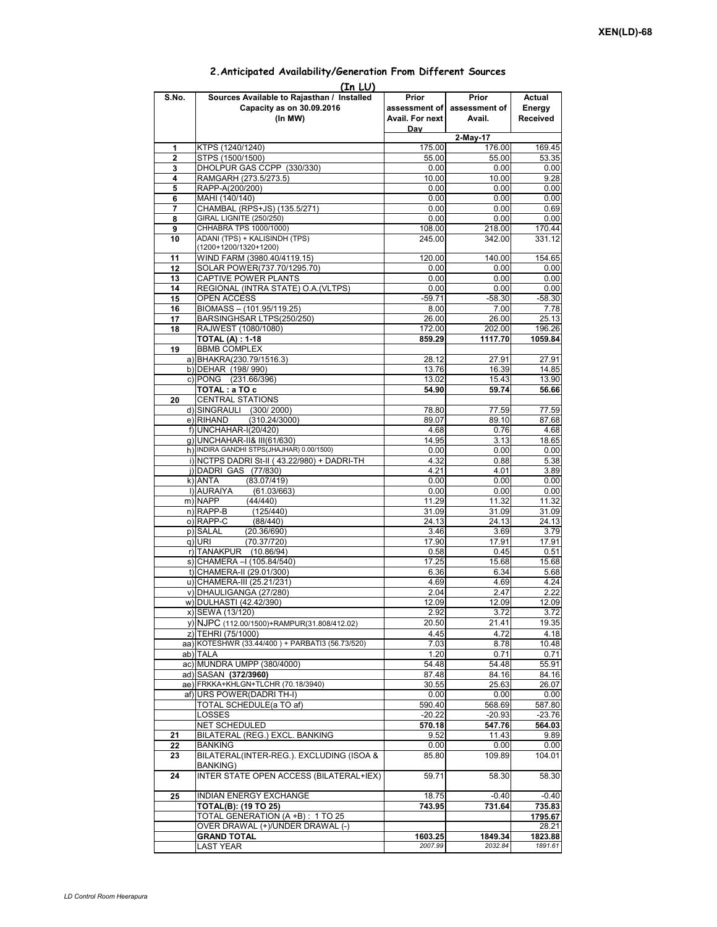|                | (In LUI)                                        |                 |               |          |
|----------------|-------------------------------------------------|-----------------|---------------|----------|
| S.No.          | Sources Available to Rajasthan / Installed      | Prior           | Prior         | Actual   |
|                | Capacity as on 30.09.2016                       | assessment of   | assessment of | Energy   |
|                | (In MW)                                         | Avail. For next | Avail.        | Received |
|                |                                                 | Dav             |               |          |
|                |                                                 |                 | 2-May-17      |          |
| 1              | KTPS (1240/1240)                                | 175.00          | 176.00        | 169.45   |
|                |                                                 |                 |               |          |
| $\overline{2}$ | STPS (1500/1500)                                | 55.00           | 55.00         | 53.35    |
| 3              | DHOLPUR GAS CCPP (330/330)                      | 0.00            | 0.00          | 0.00     |
| 4              | RAMGARH (273.5/273.5)                           | 10.00           | 10.00         | 9.28     |
| 5              | RAPP-A(200/200)                                 | 0.00            | 0.00          | 0.00     |
| 6              | MAHI (140/140)                                  | 0.00            | 0.00          | 0.00     |
| 7              | CHAMBAL (RPS+JS) (135.5/271)                    | 0.00            | 0.00          | 0.69     |
| 8              | <b>GIRAL LIGNITE (250/250)</b>                  | 0.00            | 0.00          | 0.00     |
| 9              | CHHABRA TPS 1000/1000)                          | 108.00          | 218.00        | 170.44   |
|                | ADANI (TPS) + KALISINDH (TPS)                   | 245.00          | 342.00        | 331.12   |
| 10             | (1200+1200/1320+1200)                           |                 |               |          |
|                |                                                 |                 |               |          |
| 11             | WIND FARM (3980.40/4119.15)                     | 120.00          | 140.00        | 154.65   |
| 12             | SOLAR POWER(737.70/1295.70)                     | 0.00            | 0.00          | 0.00     |
| 13             | CAPTIVE POWER PLANTS                            | 0.00            | 0.00          | 0.00     |
| 14             | REGIONAL (INTRA STATE) O.A. (VLTPS)             | 0.00            | 0.00          | 0.00     |
| 15             | <b>OPEN ACCESS</b>                              | $-59.71$        | $-58.30$      | $-58.30$ |
| 16             | BIOMASS - (101.95/119.25)                       | 8.00            | 7.00          | 7.78     |
| 17             | BARSINGHSAR LTPS(250/250)                       | 26.00           | 26.00         | 25.13    |
| 18             | RAJWEST (1080/1080)                             | 172.00          | 202.00        | 196.26   |
|                | <b>TOTAL (A): 1-18</b>                          |                 |               | 1059.84  |
|                |                                                 | 859.29          | 1117.70       |          |
| 19             | <b>BBMB COMPLEX</b>                             |                 |               |          |
|                | a) BHAKRA(230.79/1516.3)                        | 28.12           | 27.91         | 27.91    |
|                | b) DEHAR (198/990)                              | 13.76           | 16.39         | 14.85    |
|                | c) PONG (231.66/396)                            | 13.02           | 15.43         | 13.90    |
|                | TOTAL : a TO c                                  | 54.90           | 59.74         | 56.66    |
| 20             | <b>CENTRAL STATIONS</b>                         |                 |               |          |
|                | d) SINGRAULI (300/2000)                         | 78.80           | 77.59         | 77.59    |
|                | e) RIHAND<br>(310.24/3000)                      | 89.07           | 89.10         | 87.68    |
|                |                                                 |                 |               |          |
|                | f) UNCHAHAR-I(20/420)                           | 4.68            | 0.76          | 4.68     |
|                | g) UNCHAHAR-II& III(61/630)                     | 14.95           | 3.13          | 18.65    |
|                | h) INDIRA GANDHI STPS(JHAJHAR) 0.00/1500)       | 0.00            | 0.00          | 0.00     |
|                | i) NCTPS DADRI St-II (43.22/980) + DADRI-TH     | 4.32            | 0.88          | 5.38     |
|                | j) DADRI GAS (77/830)                           | 4.21            | 4.01          | 3.89     |
|                | k) ANTA<br>(83.07/419)                          | 0.00            | 0.00          | 0.00     |
|                | I) AURAIYA<br>(61.03/663)                       | 0.00            | 0.00          | 0.00     |
|                | m) NAPP<br>(44/440)                             | 11.29           | 11.32         | 11.32    |
|                |                                                 |                 |               |          |
|                | n) RAPP-B<br>(125/440)                          | 31.09           | 31.09         | 31.09    |
|                | o) RAPP-C<br>(88/440)                           | 24.13           | 24.13         | 24.13    |
|                | p) SALAL<br>(20.36/690)                         | 3.46            | 3.69          | 3.79     |
|                | (70.37/720)<br>q) URI                           | 17.90           | 17.91         | 17.91    |
|                | r) TANAKPUR (10.86/94)                          | 0.58            | 0.45          | 0.51     |
|                | s) CHAMERA - (105.84/540)                       | 17.25           | 15.68         | 15.68    |
|                | t) CHAMERA-II (29.01/300)                       | 6.36            | 6.34          | 5.68     |
|                | u) CHAMERA-III (25.21/231)                      | 4.69            | 4.69          | 4.24     |
|                |                                                 |                 |               |          |
|                | v) DHAULIGANGA (27/280)                         | 2.04            | 2.47          | 2.22     |
|                | w) DULHASTI (42.42/390)                         | 12.09           | 12.09         | 12.09    |
|                | x) SEWA (13/120)                                | 2.92            | 3.72          | 3.72     |
|                | y) NJPC (112.00/1500) + RAMPUR(31.808/412.02)   | 20.50           | 21.41         | 19.35    |
|                | z) TEHRI (75/1000)                              | 4.45            | 4.72          | 4.18     |
|                | aa) KOTESHWR (33.44/400) + PARBATI3 (56.73/520) | 7.03            | 8.78          | 10.48    |
|                | ab) TALA                                        | 1.20            | 0.71          | 0.71     |
|                |                                                 |                 |               |          |
|                | ac) MUNDRA UMPP (380/4000)                      | 54.48           | 54.48         | 55.91    |
|                | ad) SASAN (372/3960)                            | 87.48           | 84.16         | 84.16    |
|                | ae) FRKKA+KHLGN+TLCHR (70.18/3940)              | 30.55           | 25.63         | 26.07    |
|                | af) URS POWER(DADRI TH-I)                       | 0.00            | 0.00          | 0.00     |
|                | TOTAL SCHEDULE(a TO af)                         | 590.40          | 568.69        | 587.80   |
|                | LOSSES                                          | $-20.22$        | $-20.93$      | $-23.76$ |
|                | <b>NET SCHEDULED</b>                            | 570.18          | 547.76        | 564.03   |
| 21             | BILATERAL (REG.) EXCL. BANKING                  | 9.52            | 11.43         | 9.89     |
|                |                                                 |                 |               |          |
| 22             | <b>BANKING</b>                                  | 0.00            | 0.00          | 0.00     |
| 23             | BILATERAL(INTER-REG.). EXCLUDING (ISOA &        | 85.80           | 109.89        | 104.01   |
|                | <b>BANKING)</b>                                 |                 |               |          |
| 24             | INTER STATE OPEN ACCESS (BILATERAL+IEX)         | 59.71           | 58.30         | 58.30    |
|                |                                                 |                 |               |          |
| 25             | INDIAN ENERGY EXCHANGE                          | 18.75           | $-0.40$       | $-0.40$  |
|                | <b>TOTAL(B): (19 TO 25)</b>                     | 743.95          | 731.64        | 735.83   |
|                | TOTAL GENERATION (A +B) : 1 TO 25               |                 |               | 1795.67  |
|                |                                                 |                 |               |          |
|                | OVER DRAWAL (+)/UNDER DRAWAL (-)                |                 |               | 28.21    |
|                | <b>GRAND TOTAL</b>                              | 1603.25         | 1849.34       | 1823.88  |
|                | LAST YEAR                                       | 2007.99         | 2032.84       | 1891.61  |

## **2.Anticipated Availability/Generation From Different Sources**